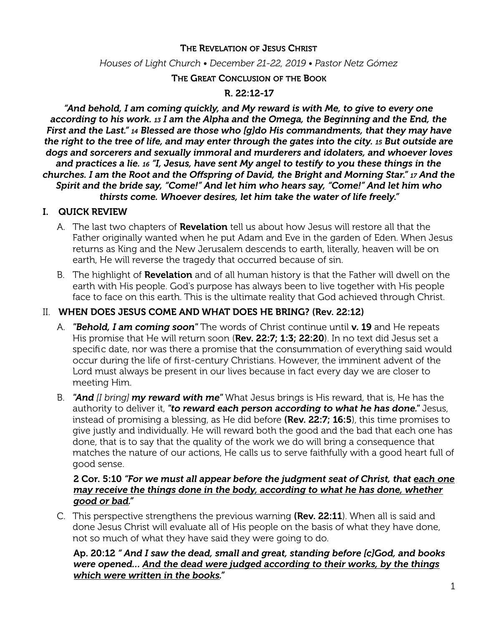### THE REVELATION OF JESUS CHRIST

#### *Houses of Light Church • December 21-22, 2019 • Pastor Netz Gómez*

#### THE GREAT CONCLUSION OF THE BOOK

### R. 22:12-17

*"And behold, I am coming quickly, and My reward is with Me, to give to every one according to his work. 13 I am the Alpha and the Omega, the Beginning and the End, the First and the Last." 14 Blessed are those who [g]do His commandments, that they may have the right to the tree of life, and may enter through the gates into the city. 15 But outside are dogs and sorcerers and sexually immoral and murderers and idolaters, and whoever loves and practices a lie. 16 "I, Jesus, have sent My angel to testify to you these things in the churches. I am the Root and the Ofspring of David, the Bright and Morning Star." 17 And the Spirit and the bride say, "Come!" And let him who hears say, "Come!" And let him who thirsts come. Whoever desires, let him take the water of life freely."* 

#### I. QUICK REVIEW

- A. The last two chapters of **Revelation** tell us about how Jesus will restore all that the Father originally wanted when he put Adam and Eve in the garden of Eden. When Jesus returns as King and the New Jerusalem descends to earth, literally, heaven will be on earth, He will reverse the tragedy that occurred because of sin.
- B. The highlight of **Revelation** and of all human history is that the Father will dwell on the earth with His people. God's purpose has always been to live together with His people face to face on this earth. This is the ultimate reality that God achieved through Christ.

### II. WHEN DOES JESUS COME AND WHAT DOES HE BRING? (Rev. 22:12)

- A. *"Behold, I am coming soon"* The words of Christ continue until v. 19 and He repeats His promise that He will return soon (Rev. 22:7; 1:3; 22:20). In no text did Jesus set a specific date, nor was there a promise that the consummation of everything said would occur during the life of first-century Christians. However, the imminent advent of the Lord must always be present in our lives because in fact every day we are closer to meeting Him.
- B. *"And [I bring] my reward with me"* What Jesus brings is His reward, that is, He has the authority to deliver it, *"to reward each person according to what he has done."* Jesus, instead of promising a blessing, as He did before (Rev. 22:7; 16:5), this time promises to give justly and individually. He will reward both the good and the bad that each one has done, that is to say that the quality of the work we do will bring a consequence that matches the nature of our actions, He calls us to serve faithfully with a good heart full of good sense.

### 2 Cor. 5:10 *"For we must all appear before the judgment seat of Christ, that each one may receive the things done in the body, according to what he has done, whether good or bad."*

C. This perspective strengthens the previous warning (Rev. 22:11). When all is said and done Jesus Christ will evaluate all of His people on the basis of what they have done, not so much of what they have said they were going to do.

### Ap. 20:12 *" And I saw the dead, small and great, standing before [c]God, and books were opened… And the dead were judged according to their works, by the things which were written in the books."*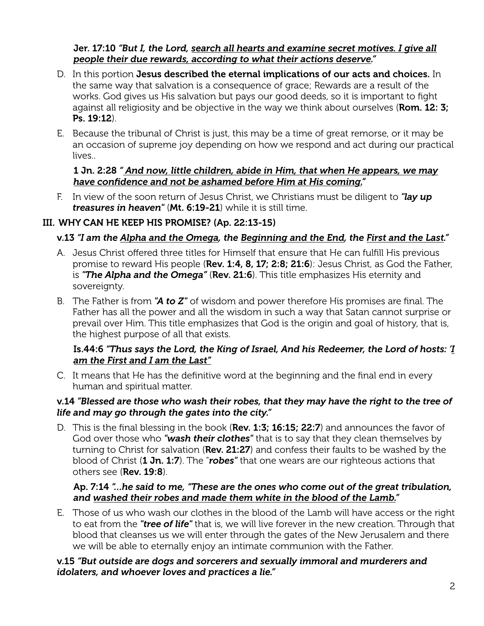### Jer. 17:10 *"But I, the Lord, search all hearts and examine secret motives. I give all people their due rewards, according to what their actions deserve."*

- D. In this portion Jesus described the eternal implications of our acts and choices. In the same way that salvation is a consequence of grace; Rewards are a result of the works. God gives us His salvation but pays our good deeds, so it is important to fight against all religiosity and be objective in the way we think about ourselves (Rom. 12: 3; Ps. 19:12).
- E. Because the tribunal of Christ is just, this may be a time of great remorse, or it may be an occasion of supreme joy depending on how we respond and act during our practical lives..

## 1 Jn. 2:28 *" And now, little children, abide in Him, that when He appears, we may have confidence and not be ashamed before Him at His coming."*

F. In view of the soon return of Jesus Christ, we Christians must be diligent to *"lay up treasures in heaven"* (Mt. 6:19-21) while it is still time.

# III. WHY CAN HE KEEP HIS PROMISE? (Ap. 22:13-15)

# v.13 *"I am the Alpha and the Omega, the Beginning and the End, the First and the Last."*

- A. Jesus Christ ofered three titles for Himself that ensure that He can fulfill His previous promise to reward His people (Rev. 1:4, 8, 17; 2:8; 21:6): Jesus Christ, as God the Father, is *"The Alpha and the Omega"* (Rev. 21:6). This title emphasizes His eternity and sovereignty.
- B. The Father is from *"A to Z"* of wisdom and power therefore His promises are final. The Father has all the power and all the wisdom in such a way that Satan cannot surprise or prevail over Him. This title emphasizes that God is the origin and goal of history, that is, the highest purpose of all that exists.

## Is.44:6 *"Thus says the Lord, the King of Israel, And his Redeemer, the Lord of hosts: 'I am the First and I am the Last"*

C. It means that He has the definitive word at the beginning and the final end in every human and spiritual matter.

### v.14 *"Blessed are those who wash their robes, that they may have the right to the tree of life and may go through the gates into the city."*

D. This is the final blessing in the book (Rev. 1:3; 16:15; 22:7) and announces the favor of God over those who *"wash their clothes"* that is to say that they clean themselves by turning to Christ for salvation (Rev. 21:27) and confess their faults to be washed by the blood of Christ (1 Jn. 1:7). The "*robes"* that one wears are our righteous actions that others see (Rev. 19:8).

### Ap. 7:14 *"…he said to me, "These are the ones who come out of the great tribulation, and washed their robes and made them white in the blood of the Lamb."*

E. Those of us who wash our clothes in the blood of the Lamb will have access or the right to eat from the *"tree of life"* that is, we will live forever in the new creation. Through that blood that cleanses us we will enter through the gates of the New Jerusalem and there we will be able to eternally enjoy an intimate communion with the Father.

### v.15 *"But outside are dogs and sorcerers and sexually immoral and murderers and idolaters, and whoever loves and practices a lie."*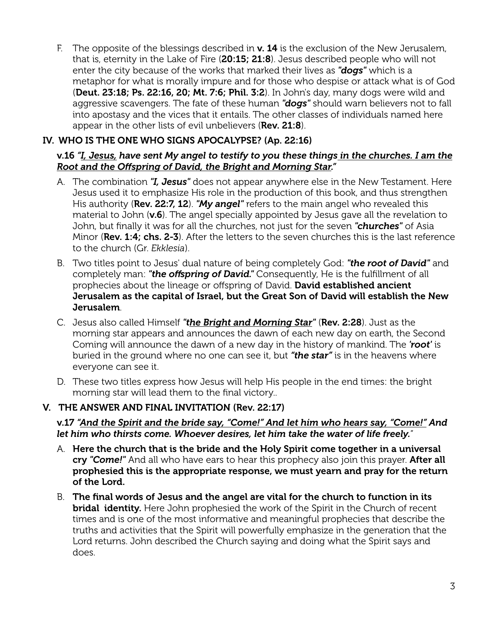F. The opposite of the blessings described in  $v$ . 14 is the exclusion of the New Jerusalem, that is, eternity in the Lake of Fire (20:15; 21:8). Jesus described people who will not enter the city because of the works that marked their lives as *"dogs"* which is a metaphor for what is morally impure and for those who despise or attack what is of God (Deut. 23:18; Ps. 22:16, 20; Mt. 7:6; Phil. 3:2). In John's day, many dogs were wild and aggressive scavengers. The fate of these human *"dogs"* should warn believers not to fall into apostasy and the vices that it entails. The other classes of individuals named here appear in the other lists of evil unbelievers (Rev. 21:8).

## IV. WHO IS THE ONE WHO SIGNS APOCALYPSE? (Ap. 22:16)

## v.16 *"I, Jesus, have sent My angel to testify to you these things in the churches. I am the Root and the Ofspring of David, the Bright and Morning Star."*

- A. The combination *"I, Jesus"* does not appear anywhere else in the New Testament. Here Jesus used it to emphasize His role in the production of this book, and thus strengthen His authority (Rev. 22:7, 12). *"My angel"* refers to the main angel who revealed this material to John ( $v.6$ ). The angel specially appointed by Jesus gave all the revelation to John, but finally it was for all the churches, not just for the seven *"churches"* of Asia Minor (Rev. 1:4; chs. 2-3). After the letters to the seven churches this is the last reference to the church (Gr. *Ekklesia*).
- B. Two titles point to Jesus' dual nature of being completely God: *"the root of David"* and completely man: *"the ofspring of David."* Consequently, He is the fulfillment of all prophecies about the lineage or offspring of David. David established ancient Jerusalem as the capital of Israel, but the Great Son of David will establish the New Jerusalem.
- C. Jesus also called Himself *"the Bright and Morning Star"* (Rev. 2:28). Just as the morning star appears and announces the dawn of each new day on earth, the Second Coming will announce the dawn of a new day in the history of mankind. The *'root'* is buried in the ground where no one can see it, but *"the star"* is in the heavens where everyone can see it.
- D. These two titles express how Jesus will help His people in the end times: the bright morning star will lead them to the final victory..

## V. THE ANSWER AND FINAL INVITATION (Rev. 22:17)

### v.17 *"And the Spirit and the bride say, "Come!" And let him who hears say, "Come!" And let him who thirsts come. Whoever desires, let him take the water of life freely.*"

- A. Here the church that is the bride and the Holy Spirit come together in a universal cry *"Come!"* And all who have ears to hear this prophecy also join this prayer. After all prophesied this is the appropriate response, we must yearn and pray for the return of the Lord.
- B. The final words of Jesus and the angel are vital for the church to function in its **bridal identity.** Here John prophesied the work of the Spirit in the Church of recent times and is one of the most informative and meaningful prophecies that describe the truths and activities that the Spirit will powerfully emphasize in the generation that the Lord returns. John described the Church saying and doing what the Spirit says and does.